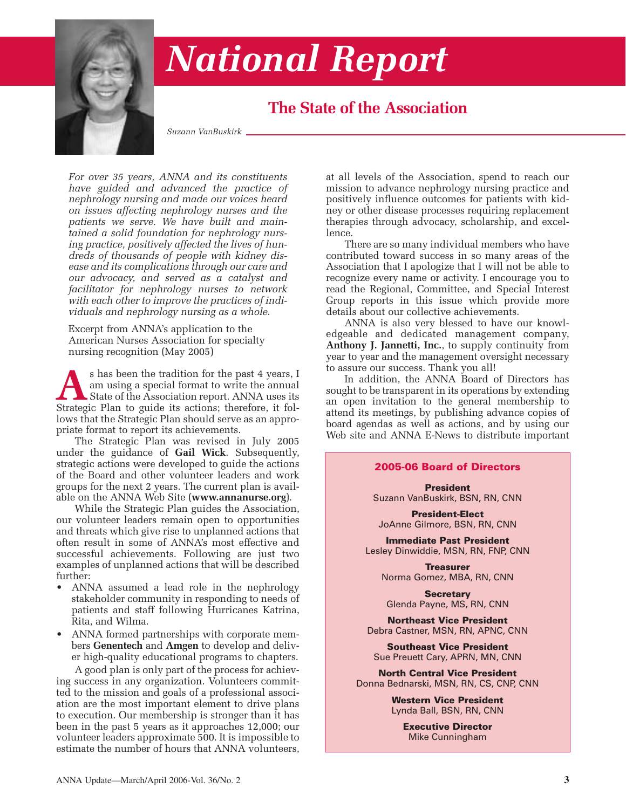

# *National Report*

# **The State of the Association**

*Suzann VanBuskirk*

*For over 35 years, ANNA and its constituents have guided and advanced the practice of nephrology nursing and made our voices heard on issues affecting nephrology nurses and the patients we serve. We have built and maintained a solid foundation for nephrology nursing practice, positively affected the lives of hundreds of thousands of people with kidney disease and its complications through our care and our advocacy, and served as a catalyst and facilitator for nephrology nurses to network with each other to improve the practices of individuals and nephrology nursing as a whole*.

Excerpt from ANNA's application to the American Nurses Association for specialty nursing recognition (May 2005)

s has been the tradition for the past 4 years, I am using a special format to write the annual State of the Association report. ANNA uses its Strategic Plan to guide its actions: therefore, it folam using a special format to write the annual State of the Association report. ANNA uses its Strategic Plan to guide its actions; therefore, it follows that the Strategic Plan should serve as an appropriate format to report its achievements.

The Strategic Plan was revised in July 2005 under the guidance of **Gail Wick**. Subsequently, strategic actions were developed to guide the actions of the Board and other volunteer leaders and work groups for the next 2 years. The current plan is available on the ANNA Web Site (**www.annanurse.org**).

While the Strategic Plan guides the Association, our volunteer leaders remain open to opportunities and threats which give rise to unplanned actions that often result in some of ANNA's most effective and successful achievements. Following are just two examples of unplanned actions that will be described further:

- ANNA assumed a lead role in the nephrology stakeholder community in responding to needs of patients and staff following Hurricanes Katrina, Rita, and Wilma.
- ANNA formed partnerships with corporate members **Genentech** and **Amgen** to develop and deliver high-quality educational programs to chapters.

A good plan is only part of the process for achieving success in any organization. Volunteers committed to the mission and goals of a professional association are the most important element to drive plans to execution. Our membership is stronger than it has been in the past 5 years as it approaches 12,000; our volunteer leaders approximate 500. It is impossible to estimate the number of hours that ANNA volunteers, at all levels of the Association, spend to reach our mission to advance nephrology nursing practice and positively influence outcomes for patients with kidney or other disease processes requiring replacement therapies through advocacy, scholarship, and excellence.

There are so many individual members who have contributed toward success in so many areas of the Association that I apologize that I will not be able to recognize every name or activity. I encourage you to read the Regional, Committee, and Special Interest Group reports in this issue which provide more details about our collective achievements.

ANNA is also very blessed to have our knowledgeable and dedicated management company, **Anthony J. Jannetti, Inc.**, to supply continuity from year to year and the management oversight necessary to assure our success. Thank you all!

In addition, the ANNA Board of Directors has sought to be transparent in its operations by extending an open invitation to the general membership to attend its meetings, by publishing advance copies of board agendas as well as actions, and by using our Web site and ANNA E-News to distribute important

#### **2005-06 Board of Directors**

**President** Suzann VanBuskirk, BSN, RN, CNN

**President-Elect** JoAnne Gilmore, BSN, RN, CNN

**Immediate Past President** Lesley Dinwiddie, MSN, RN, FNP, CNN

**Treasurer** Norma Gomez, MBA, RN, CNN

**Secretary** Glenda Payne, MS, RN, CNN

**Northeast Vice President** Debra Castner, MSN, RN, APNC, CNN

**Southeast Vice President** Sue Preuett Cary, APRN, MN, CNN

**North Central Vice President** Donna Bednarski, MSN, RN, CS, CNP, CNN

> **Western Vice President** Lynda Ball, BSN, RN, CNN

> > **Executive Director** Mike Cunningham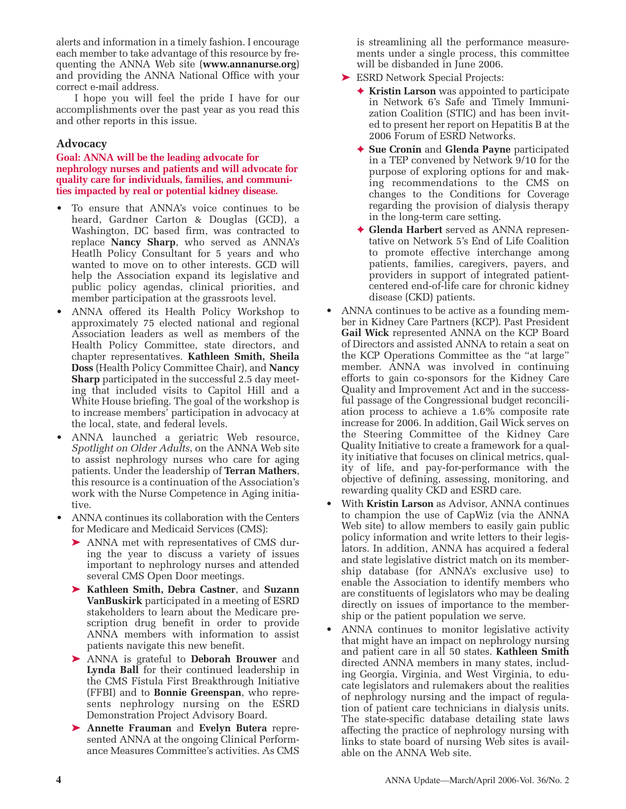alerts and information in a timely fashion. I encourage each member to take advantage of this resource by frequenting the ANNA Web site (**www.annanurse.org**) and providing the ANNA National Office with your correct e-mail address.

I hope you will feel the pride I have for our accomplishments over the past year as you read this and other reports in this issue.

### **Advocacy**

**Goal: ANNA will be the leading advocate for nephrology nurses and patients and will advocate for quality care for individuals, families, and communities impacted by real or potential kidney disease.**

- To ensure that ANNA's voice continues to be heard, Gardner Carton & Douglas (GCD), a Washington, DC based firm, was contracted to replace **Nancy Sharp**, who served as ANNA's Heatlh Policy Consultant for 5 years and who wanted to move on to other interests. GCD will help the Association expand its legislative and public policy agendas, clinical priorities, and member participation at the grassroots level.
- ANNA offered its Health Policy Workshop to approximately 75 elected national and regional Association leaders as well as members of the Health Policy Committee, state directors, and chapter representatives. **Kathleen Smith, Sheila Doss** (Health Policy Committee Chair), and **Nancy Sharp** participated in the successful 2.5 day meeting that included visits to Capitol Hill and a White House briefing. The goal of the workshop is to increase members' participation in advocacy at the local, state, and federal levels.
- ANNA launched a geriatric Web resource, *Spotlight on Older Adults*, on the ANNA Web site to assist nephrology nurses who care for aging patients. Under the leadership of **Terran Mathers**, this resource is a continuation of the Association's work with the Nurse Competence in Aging initiative.
- ANNA continues its collaboration with the Centers for Medicare and Medicaid Services (CMS):
	- ➤ ANNA met with representatives of CMS during the year to discuss a variety of issues important to nephrology nurses and attended several CMS Open Door meetings.
	- ➤ **Kathleen Smith, Debra Castner**, and **Suzann VanBuskirk** participated in a meeting of ESRD stakeholders to learn about the Medicare prescription drug benefit in order to provide ANNA members with information to assist patients navigate this new benefit.
	- ➤ ANNA is grateful to **Deborah Brouwer** and **Lynda Ball** for their continued leadership in the CMS Fistula First Breakthrough Initiative (FFBI) and to **Bonnie Greenspan**, who represents nephrology nursing on the ESRD Demonstration Project Advisory Board.
	- ➤ **Annette Frauman** and **Evelyn Butera** represented ANNA at the ongoing Clinical Performance Measures Committee's activities. As CMS

is streamlining all the performance measurements under a single process, this committee will be disbanded in June 2006.

- ► ESRD Network Special Projects:
	- ✦ **Kristin Larson** was appointed to participate in Network 6's Safe and Timely Immunization Coalition (STIC) and has been invited to present her report on Hepatitis B at the 2006 Forum of ESRD Networks.
	- ✦ **Sue Cronin** and **Glenda Payne** participated in a TEP convened by Network 9/10 for the purpose of exploring options for and making recommendations to the CMS on changes to the Conditions for Coverage regarding the provision of dialysis therapy in the long-term care setting.
	- ✦ **Glenda Harbert** served as ANNA representative on Network 5's End of Life Coalition to promote effective interchange among patients, families, caregivers, payers, and providers in support of integrated patientcentered end-of-life care for chronic kidney disease (CKD) patients.
- ANNA continues to be active as a founding member in Kidney Care Partners (KCP). Past President **Gail Wick** represented ANNA on the KCP Board of Directors and assisted ANNA to retain a seat on the KCP Operations Committee as the "at large" member. ANNA was involved in continuing efforts to gain co-sponsors for the Kidney Care Quality and Improvement Act and in the successful passage of the Congressional budget reconciliation process to achieve a 1.6% composite rate increase for 2006. In addition, Gail Wick serves on the Steering Committee of the Kidney Care Quality Initiative to create a framework for a quality initiative that focuses on clinical metrics, quality of life, and pay-for-performance with the objective of defining, assessing, monitoring, and rewarding quality CKD and ESRD care.
- With **Kristin Larson** as Advisor, ANNA continues to champion the use of CapWiz (via the ANNA Web site) to allow members to easily gain public policy information and write letters to their legislators. In addition, ANNA has acquired a federal and state legislative district match on its membership database (for ANNA's exclusive use) to enable the Association to identify members who are constituents of legislators who may be dealing directly on issues of importance to the membership or the patient population we serve.
- ANNA continues to monitor legislative activity that might have an impact on nephrology nursing and patient care in all 50 states. **Kathleen Smith** directed ANNA members in many states, including Georgia, Virginia, and West Virginia, to educate legislators and rulemakers about the realities of nephrology nursing and the impact of regulation of patient care technicians in dialysis units. The state-specific database detailing state laws affecting the practice of nephrology nursing with links to state board of nursing Web sites is available on the ANNA Web site.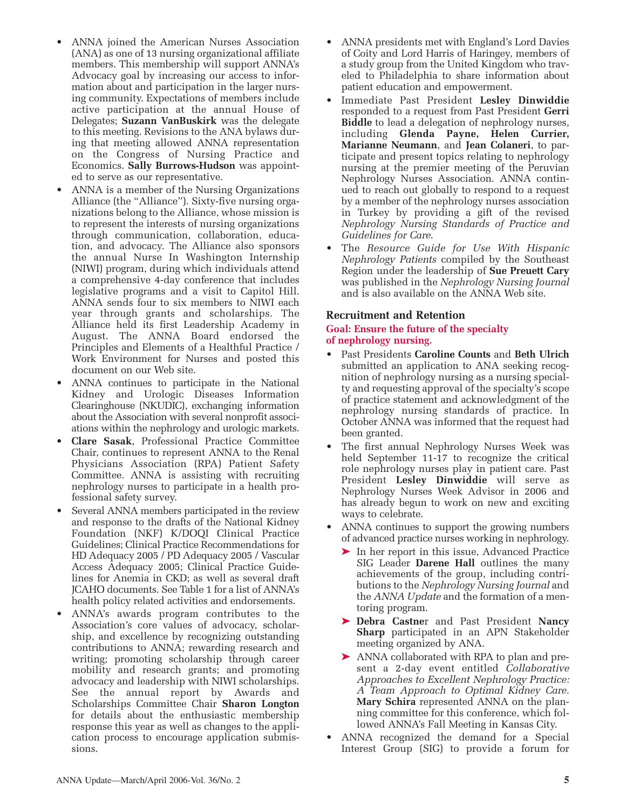- ANNA joined the American Nurses Association (ANA) as one of 13 nursing organizational affiliate members. This membership will support ANNA's Advocacy goal by increasing our access to information about and participation in the larger nursing community. Expectations of members include active participation at the annual House of Delegates; **Suzann VanBuskirk** was the delegate to this meeting. Revisions to the ANA bylaws during that meeting allowed ANNA representation on the Congress of Nursing Practice and Economics. **Sally Burrows-Hudson** was appointed to serve as our representative.
- ANNA is a member of the Nursing Organizations Alliance (the "Alliance"). Sixty-five nursing organizations belong to the Alliance, whose mission is to represent the interests of nursing organizations through communication, collaboration, education, and advocacy. The Alliance also sponsors the annual Nurse In Washington Internship (NIWI) program, during which individuals attend a comprehensive 4-day conference that includes legislative programs and a visit to Capitol Hill. ANNA sends four to six members to NIWI each year through grants and scholarships. The Alliance held its first Leadership Academy in August. The ANNA Board endorsed the Principles and Elements of a Healthful Practice / Work Environment for Nurses and posted this document on our Web site.
- ANNA continues to participate in the National Kidney and Urologic Diseases Information Clearinghouse (NKUDIC), exchanging information about the Association with several nonprofit associations within the nephrology and urologic markets.
- **Clare Sasak**, Professional Practice Committee Chair, continues to represent ANNA to the Renal Physicians Association (RPA) Patient Safety Committee. ANNA is assisting with recruiting nephrology nurses to participate in a health professional safety survey.
- Several ANNA members participated in the review and response to the drafts of the National Kidney Foundation (NKF) K/DOQI Clinical Practice Guidelines; Clinical Practice Recommendations for HD Adequacy 2005 / PD Adequacy 2005 / Vascular Access Adequacy 2005; Clinical Practice Guidelines for Anemia in CKD; as well as several draft JCAHO documents. See Table 1 for a list of ANNA's health policy related activities and endorsements.
- ANNA's awards program contributes to the Association's core values of advocacy, scholarship, and excellence by recognizing outstanding contributions to ANNA; rewarding research and writing; promoting scholarship through career mobility and research grants; and promoting advocacy and leadership with NIWI scholarships. See the annual report by Awards and Scholarships Committee Chair **Sharon Longton** for details about the enthusiastic membership response this year as well as changes to the application process to encourage application submissions.
- ANNA presidents met with England's Lord Davies of Coity and Lord Harris of Haringey, members of a study group from the United Kingdom who traveled to Philadelphia to share information about patient education and empowerment.
- Immediate Past President **Lesley Dinwiddie** responded to a request from Past President **Gerri Biddle** to lead a delegation of nephrology nurses, including **Glenda Payne, Helen Currier, Marianne Neumann**, and **Jean Colaneri**, to participate and present topics relating to nephrology nursing at the premier meeting of the Peruvian Nephrology Nurses Association. ANNA continued to reach out globally to respond to a request by a member of the nephrology nurses association in Turkey by providing a gift of the revised *Nephrology Nursing Standards of Practice and Guidelines for Care*.
- The *Resource Guide for Use With Hispanic Nephrology Patients* compiled by the Southeast Region under the leadership of **Sue Preuett Cary** was published in the *Nephrology Nursing Journal* and is also available on the ANNA Web site.

#### **Recruitment and Retention**

#### **Goal: Ensure the future of the specialty of nephrology nursing.**

- Past Presidents **Caroline Counts** and **Beth Ulrich** submitted an application to ANA seeking recognition of nephrology nursing as a nursing specialty and requesting approval of the specialty's scope of practice statement and acknowledgment of the nephrology nursing standards of practice. In October ANNA was informed that the request had been granted.
- The first annual Nephrology Nurses Week was held September 11-17 to recognize the critical role nephrology nurses play in patient care. Past President **Lesley Dinwiddie** will serve as Nephrology Nurses Week Advisor in 2006 and has already begun to work on new and exciting ways to celebrate.
- ANNA continues to support the growing numbers of advanced practice nurses working in nephrology.
	- ➤ In her report in this issue, Advanced Practice SIG Leader **Darene Hall** outlines the many achievements of the group, including contributions to the *Nephrology Nursing Journal* and the *ANNA Update* and the formation of a mentoring program.
	- ➤ **Debra Castne**r and Past President **Nancy Sharp** participated in an APN Stakeholder meeting organized by ANA.
	- ➤ ANNA collaborated with RPA to plan and present a 2-day event entitled *Collaborative Approaches to Excellent Nephrology Practice: A Team Approach to Optimal Kidney Care.* **Mary Schira** represented ANNA on the planning committee for this conference, which followed ANNA's Fall Meeting in Kansas City.
- ANNA recognized the demand for a Special Interest Group (SIG) to provide a forum for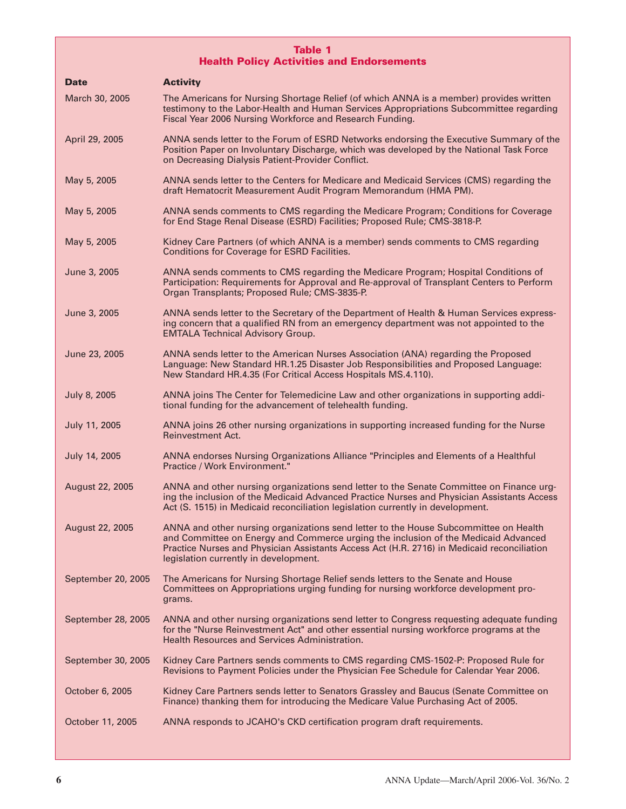#### **Table 1 Health Policy Activities and Endorsements**

| <b>Date</b>        | <b>Activity</b>                                                                                                                                                                                                                                                                                                   |
|--------------------|-------------------------------------------------------------------------------------------------------------------------------------------------------------------------------------------------------------------------------------------------------------------------------------------------------------------|
| March 30, 2005     | The Americans for Nursing Shortage Relief (of which ANNA is a member) provides written<br>testimony to the Labor-Health and Human Services Appropriations Subcommittee regarding<br>Fiscal Year 2006 Nursing Workforce and Research Funding.                                                                      |
| April 29, 2005     | ANNA sends letter to the Forum of ESRD Networks endorsing the Executive Summary of the<br>Position Paper on Involuntary Discharge, which was developed by the National Task Force<br>on Decreasing Dialysis Patient-Provider Conflict.                                                                            |
| May 5, 2005        | ANNA sends letter to the Centers for Medicare and Medicaid Services (CMS) regarding the<br>draft Hematocrit Measurement Audit Program Memorandum (HMA PM).                                                                                                                                                        |
| May 5, 2005        | ANNA sends comments to CMS regarding the Medicare Program; Conditions for Coverage<br>for End Stage Renal Disease (ESRD) Facilities; Proposed Rule; CMS-3818-P.                                                                                                                                                   |
| May 5, 2005        | Kidney Care Partners (of which ANNA is a member) sends comments to CMS regarding<br><b>Conditions for Coverage for ESRD Facilities.</b>                                                                                                                                                                           |
| June 3, 2005       | ANNA sends comments to CMS regarding the Medicare Program; Hospital Conditions of<br>Participation: Requirements for Approval and Re-approval of Transplant Centers to Perform<br>Organ Transplants; Proposed Rule; CMS-3835-P.                                                                                   |
| June 3, 2005       | ANNA sends letter to the Secretary of the Department of Health & Human Services express-<br>ing concern that a qualified RN from an emergency department was not appointed to the<br><b>EMTALA Technical Advisory Group.</b>                                                                                      |
| June 23, 2005      | ANNA sends letter to the American Nurses Association (ANA) regarding the Proposed<br>Language: New Standard HR.1.25 Disaster Job Responsibilities and Proposed Language:<br>New Standard HR.4.35 (For Critical Access Hospitals MS.4.110).                                                                        |
| July 8, 2005       | ANNA joins The Center for Telemedicine Law and other organizations in supporting addi-<br>tional funding for the advancement of telehealth funding.                                                                                                                                                               |
| July 11, 2005      | ANNA joins 26 other nursing organizations in supporting increased funding for the Nurse<br>Reinvestment Act.                                                                                                                                                                                                      |
| July 14, 2005      | ANNA endorses Nursing Organizations Alliance "Principles and Elements of a Healthful<br>Practice / Work Environment."                                                                                                                                                                                             |
| August 22, 2005    | ANNA and other nursing organizations send letter to the Senate Committee on Finance urg-<br>ing the inclusion of the Medicaid Advanced Practice Nurses and Physician Assistants Access<br>Act (S. 1515) in Medicaid reconciliation legislation currently in development.                                          |
| August 22, 2005    | ANNA and other nursing organizations send letter to the House Subcommittee on Health<br>and Committee on Energy and Commerce urging the inclusion of the Medicaid Advanced<br>Practice Nurses and Physician Assistants Access Act (H.R. 2716) in Medicaid reconciliation<br>legislation currently in development. |
| September 20, 2005 | The Americans for Nursing Shortage Relief sends letters to the Senate and House<br>Committees on Appropriations urging funding for nursing workforce development pro-<br>grams.                                                                                                                                   |
| September 28, 2005 | ANNA and other nursing organizations send letter to Congress requesting adequate funding<br>for the "Nurse Reinvestment Act" and other essential nursing workforce programs at the<br><b>Health Resources and Services Administration.</b>                                                                        |
| September 30, 2005 | Kidney Care Partners sends comments to CMS regarding CMS-1502-P: Proposed Rule for<br>Revisions to Payment Policies under the Physician Fee Schedule for Calendar Year 2006.                                                                                                                                      |
| October 6, 2005    | Kidney Care Partners sends letter to Senators Grassley and Baucus (Senate Committee on<br>Finance) thanking them for introducing the Medicare Value Purchasing Act of 2005.                                                                                                                                       |
| October 11, 2005   | ANNA responds to JCAHO's CKD certification program draft requirements.                                                                                                                                                                                                                                            |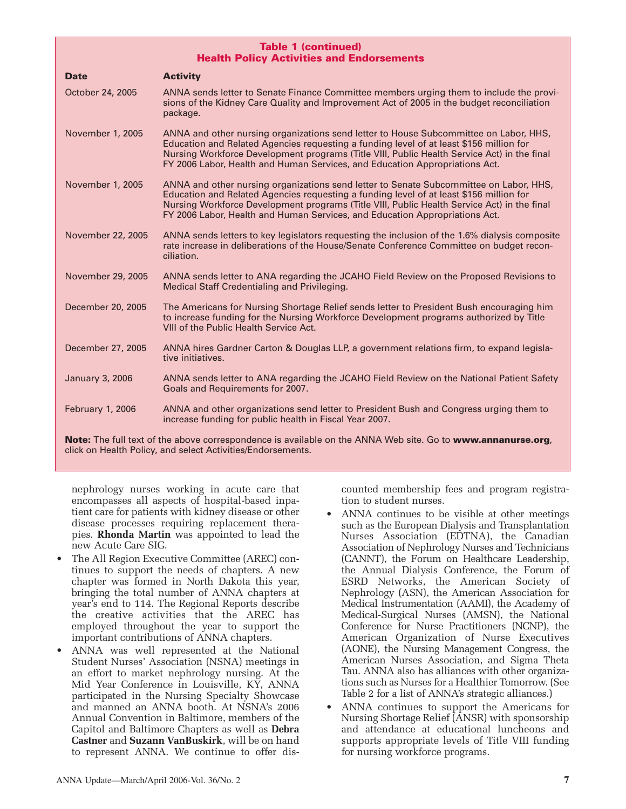| <b>Table 1 (continued)</b><br><b>Health Policy Activities and Endorsements</b>                                             |                                                                                                                                                                                                                                                                                                                                                                 |  |  |  |
|----------------------------------------------------------------------------------------------------------------------------|-----------------------------------------------------------------------------------------------------------------------------------------------------------------------------------------------------------------------------------------------------------------------------------------------------------------------------------------------------------------|--|--|--|
| <b>Date</b>                                                                                                                | <b>Activity</b>                                                                                                                                                                                                                                                                                                                                                 |  |  |  |
| October 24, 2005                                                                                                           | ANNA sends letter to Senate Finance Committee members urging them to include the provi-<br>sions of the Kidney Care Quality and Improvement Act of 2005 in the budget reconciliation<br>package.                                                                                                                                                                |  |  |  |
| November 1, 2005                                                                                                           | ANNA and other nursing organizations send letter to House Subcommittee on Labor, HHS,<br>Education and Related Agencies requesting a funding level of at least \$156 million for<br>Nursing Workforce Development programs (Title VIII, Public Health Service Act) in the final<br>FY 2006 Labor, Health and Human Services, and Education Appropriations Act.  |  |  |  |
| November 1, 2005                                                                                                           | ANNA and other nursing organizations send letter to Senate Subcommittee on Labor, HHS,<br>Education and Related Agencies requesting a funding level of at least \$156 million for<br>Nursing Workforce Development programs (Title VIII, Public Health Service Act) in the final<br>FY 2006 Labor, Health and Human Services, and Education Appropriations Act. |  |  |  |
| November 22, 2005                                                                                                          | ANNA sends letters to key legislators requesting the inclusion of the 1.6% dialysis composite<br>rate increase in deliberations of the House/Senate Conference Committee on budget recon-<br>ciliation.                                                                                                                                                         |  |  |  |
| November 29, 2005                                                                                                          | ANNA sends letter to ANA regarding the JCAHO Field Review on the Proposed Revisions to<br>Medical Staff Credentialing and Privileging.                                                                                                                                                                                                                          |  |  |  |
| December 20, 2005                                                                                                          | The Americans for Nursing Shortage Relief sends letter to President Bush encouraging him<br>to increase funding for the Nursing Workforce Development programs authorized by Title<br>VIII of the Public Health Service Act.                                                                                                                                    |  |  |  |
| December 27, 2005                                                                                                          | ANNA hires Gardner Carton & Douglas LLP, a government relations firm, to expand legisla-<br>tive initiatives.                                                                                                                                                                                                                                                   |  |  |  |
| <b>January 3, 2006</b>                                                                                                     | ANNA sends letter to ANA regarding the JCAHO Field Review on the National Patient Safety<br>Goals and Requirements for 2007.                                                                                                                                                                                                                                    |  |  |  |
| <b>February 1, 2006</b>                                                                                                    | ANNA and other organizations send letter to President Bush and Congress urging them to<br>increase funding for public health in Fiscal Year 2007.                                                                                                                                                                                                               |  |  |  |
| <b>Note:</b> The full text of the above correspondence is available on the ANNA Web site. Go to <b>www.annanurse.org</b> . |                                                                                                                                                                                                                                                                                                                                                                 |  |  |  |

**Note:** The full text of the above correspondence is available on the ANNA Web site. Go to **www.annanurse.org**, click on Health Policy, and select Activities/Endorsements.

nephrology nurses working in acute care that encompasses all aspects of hospital-based inpatient care for patients with kidney disease or other disease processes requiring replacement therapies. **Rhonda Martin** was appointed to lead the new Acute Care SIG.

- The All Region Executive Committee (AREC) continues to support the needs of chapters. A new chapter was formed in North Dakota this year, bringing the total number of ANNA chapters at year's end to 114. The Regional Reports describe the creative activities that the AREC has employed throughout the year to support the important contributions of ANNA chapters.
- ANNA was well represented at the National Student Nurses' Association (NSNA) meetings in an effort to market nephrology nursing. At the Mid Year Conference in Louisville, KY, ANNA participated in the Nursing Specialty Showcase and manned an ANNA booth. At NSNA's 2006 Annual Convention in Baltimore, members of the Capitol and Baltimore Chapters as well as **Debra Castner** and **Suzann VanBuskirk**, will be on hand to represent ANNA. We continue to offer dis-

counted membership fees and program registration to student nurses.

- ANNA continues to be visible at other meetings such as the European Dialysis and Transplantation Nurses Association (EDTNA), the Canadian Association of Nephrology Nurses and Technicians (CANNT), the Forum on Healthcare Leadership, the Annual Dialysis Conference, the Forum of ESRD Networks, the American Society of Nephrology (ASN), the American Association for Medical Instrumentation (AAMI), the Academy of Medical-Surgical Nurses (AMSN), the National Conference for Nurse Practitioners (NCNP), the American Organization of Nurse Executives (AONE), the Nursing Management Congress, the American Nurses Association, and Sigma Theta Tau. ANNA also has alliances with other organizations such as Nurses for a Healthier Tomorrow. (See Table 2 for a list of ANNA's strategic alliances.)
- ANNA continues to support the Americans for Nursing Shortage Relief (ANSR) with sponsorship and attendance at educational luncheons and supports appropriate levels of Title VIII funding for nursing workforce programs.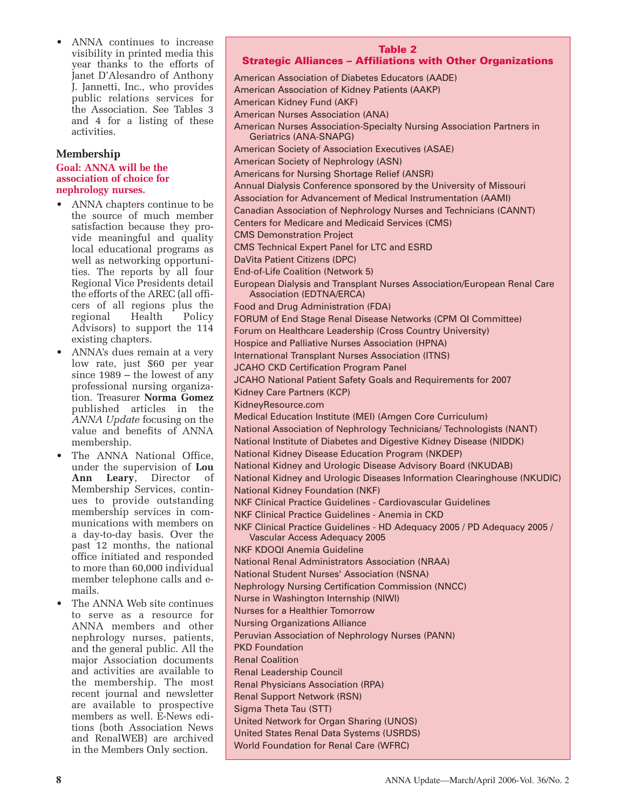• ANNA continues to increase visibility in printed media this year thanks to the efforts of Janet D'Alesandro of Anthony J. Jannetti, Inc., who provides public relations services for the Association. See Tables 3 and 4 for a listing of these activities.

#### **Membership**

#### **Goal: ANNA will be the association of choice for nephrology nurses.**

- ANNA chapters continue to be the source of much member satisfaction because they provide meaningful and quality local educational programs as well as networking opportunities. The reports by all four Regional Vice Presidents detail the efforts of the AREC (all officers of all regions plus the regional Health Policy Advisors) to support the 114 existing chapters.
- ANNA's dues remain at a very low rate, just \$60 per year since 1989 – the lowest of any professional nursing organization. Treasurer **Norma Gomez** published articles in the *ANNA Update* focusing on the value and benefits of ANNA membership.
- The ANNA National Office, under the supervision of **Lou Ann Leary**, Director of Membership Services, continues to provide outstanding membership services in communications with members on a day-to-day basis. Over the past 12 months, the national office initiated and responded to more than 60,000 individual member telephone calls and emails.
- The ANNA Web site continues to serve as a resource for ANNA members and other nephrology nurses, patients, and the general public. All the major Association documents and activities are available to the membership. The most recent journal and newsletter are available to prospective members as well. E-News editions (both Association News and RenalWEB) are archived in the Members Only section.

#### **Table 2 Strategic Alliances – Affiliations with Other Organizations**

American Association of Diabetes Educators (AADE) American Association of Kidney Patients (AAKP) American Kidney Fund (AKF) American Nurses Association (ANA) American Nurses Association-Specialty Nursing Association Partners in Geriatrics (ANA-SNAPG) American Society of Association Executives (ASAE) American Society of Nephrology (ASN) Americans for Nursing Shortage Relief (ANSR) Annual Dialysis Conference sponsored by the University of Missouri Association for Advancement of Medical Instrumentation (AAMI) Canadian Association of Nephrology Nurses and Technicians (CANNT) Centers for Medicare and Medicaid Services (CMS) CMS Demonstration Project CMS Technical Expert Panel for LTC and ESRD DaVita Patient Citizens (DPC) End-of-Life Coalition (Network 5) European Dialysis and Transplant Nurses Association/European Renal Care Association (EDTNA/ERCA) Food and Drug Administration (FDA) FORUM of End Stage Renal Disease Networks (CPM QI Committee) Forum on Healthcare Leadership (Cross Country University) Hospice and Palliative Nurses Association (HPNA) International Transplant Nurses Association (ITNS) JCAHO CKD Certification Program Panel JCAHO National Patient Safety Goals and Requirements for 2007 Kidney Care Partners (KCP) KidneyResource.com Medical Education Institute (MEI) (Amgen Core Curriculum) National Association of Nephrology Technicians/ Technologists (NANT) National Institute of Diabetes and Digestive Kidney Disease (NIDDK) National Kidney Disease Education Program (NKDEP) National Kidney and Urologic Disease Advisory Board (NKUDAB) National Kidney and Urologic Diseases Information Clearinghouse (NKUDIC) National Kidney Foundation (NKF) NKF Clinical Practice Guidelines - Cardiovascular Guidelines NKF Clinical Practice Guidelines - Anemia in CKD NKF Clinical Practice Guidelines - HD Adequacy 2005 / PD Adequacy 2005 / Vascular Access Adequacy 2005 NKF KDOQI Anemia Guideline National Renal Administrators Association (NRAA) National Student Nurses' Association (NSNA) Nephrology Nursing Certification Commission (NNCC) Nurse in Washington Internship (NIWI) Nurses for a Healthier Tomorrow Nursing Organizations Alliance Peruvian Association of Nephrology Nurses (PANN) PKD Foundation Renal Coalition Renal Leadership Council Renal Physicians Association (RPA) Renal Support Network (RSN) Sigma Theta Tau (STT) United Network for Organ Sharing (UNOS) United States Renal Data Systems (USRDS) World Foundation for Renal Care (WFRC)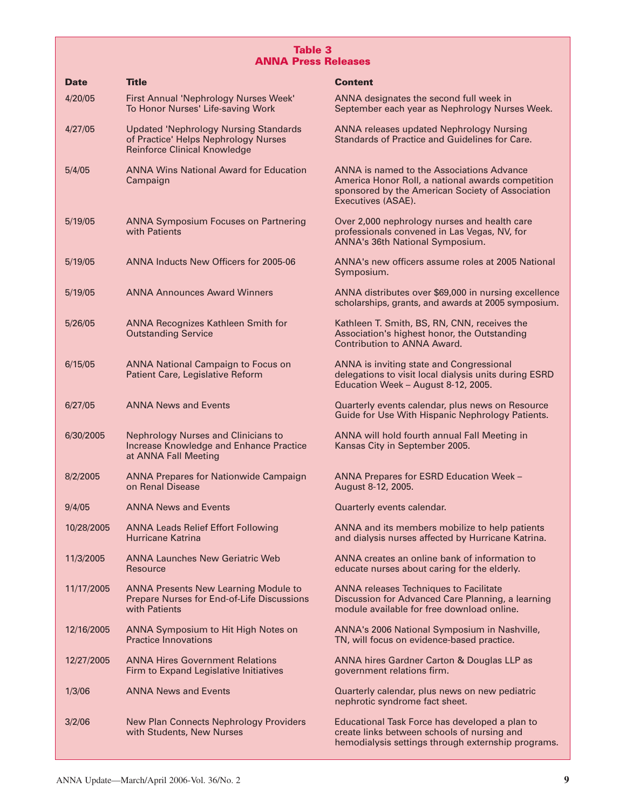#### **Table 3 ANNA Press Releases**

| <b>Date</b> | <b>Title</b>                                                                                                                | <b>Content</b>                                                                                                                                                           |
|-------------|-----------------------------------------------------------------------------------------------------------------------------|--------------------------------------------------------------------------------------------------------------------------------------------------------------------------|
| 4/20/05     | First Annual 'Nephrology Nurses Week'<br>To Honor Nurses' Life-saving Work                                                  | ANNA designates the second full week in<br>September each year as Nephrology Nurses Week.                                                                                |
| 4/27/05     | <b>Updated 'Nephrology Nursing Standards</b><br>of Practice' Helps Nephrology Nurses<br><b>Reinforce Clinical Knowledge</b> | <b>ANNA releases updated Nephrology Nursing</b><br>Standards of Practice and Guidelines for Care.                                                                        |
| 5/4/05      | <b>ANNA Wins National Award for Education</b><br>Campaign                                                                   | ANNA is named to the Associations Advance<br>America Honor Roll, a national awards competition<br>sponsored by the American Society of Association<br>Executives (ASAE). |
| 5/19/05     | <b>ANNA Symposium Focuses on Partnering</b><br>with Patients                                                                | Over 2,000 nephrology nurses and health care<br>professionals convened in Las Vegas, NV, for<br>ANNA's 36th National Symposium.                                          |
| 5/19/05     | ANNA Inducts New Officers for 2005-06                                                                                       | ANNA's new officers assume roles at 2005 National<br>Symposium.                                                                                                          |
| 5/19/05     | <b>ANNA Announces Award Winners</b>                                                                                         | ANNA distributes over \$69,000 in nursing excellence<br>scholarships, grants, and awards at 2005 symposium.                                                              |
| 5/26/05     | <b>ANNA Recognizes Kathleen Smith for</b><br><b>Outstanding Service</b>                                                     | Kathleen T. Smith, BS, RN, CNN, receives the<br>Association's highest honor, the Outstanding<br>Contribution to ANNA Award.                                              |
| 6/15/05     | <b>ANNA National Campaign to Focus on</b><br><b>Patient Care, Legislative Reform</b>                                        | ANNA is inviting state and Congressional<br>delegations to visit local dialysis units during ESRD<br>Education Week - August 8-12, 2005.                                 |
| 6/27/05     | <b>ANNA News and Events</b>                                                                                                 | Quarterly events calendar, plus news on Resource<br>Guide for Use With Hispanic Nephrology Patients.                                                                     |
| 6/30/2005   | <b>Nephrology Nurses and Clinicians to</b><br><b>Increase Knowledge and Enhance Practice</b><br>at ANNA Fall Meeting        | ANNA will hold fourth annual Fall Meeting in<br>Kansas City in September 2005.                                                                                           |
| 8/2/2005    | <b>ANNA Prepares for Nationwide Campaign</b><br>on Renal Disease                                                            | ANNA Prepares for ESRD Education Week -<br>August 8-12, 2005.                                                                                                            |
| 9/4/05      | <b>ANNA News and Events</b>                                                                                                 | Quarterly events calendar.                                                                                                                                               |
| 10/28/2005  | <b>ANNA Leads Relief Effort Following</b><br><b>Hurricane Katrina</b>                                                       | ANNA and its members mobilize to help patients<br>and dialysis nurses affected by Hurricane Katrina.                                                                     |
| 11/3/2005   | <b>ANNA Launches New Geriatric Web</b><br>Resource                                                                          | ANNA creates an online bank of information to<br>educate nurses about caring for the elderly.                                                                            |
| 11/17/2005  | <b>ANNA Presents New Learning Module to</b><br><b>Prepare Nurses for End-of-Life Discussions</b><br>with Patients           | <b>ANNA releases Techniques to Facilitate</b><br>Discussion for Advanced Care Planning, a learning<br>module available for free download online.                         |
| 12/16/2005  | ANNA Symposium to Hit High Notes on<br><b>Practice Innovations</b>                                                          | ANNA's 2006 National Symposium in Nashville,<br>TN, will focus on evidence-based practice.                                                                               |
| 12/27/2005  | <b>ANNA Hires Government Relations</b><br>Firm to Expand Legislative Initiatives                                            | ANNA hires Gardner Carton & Douglas LLP as<br>government relations firm.                                                                                                 |
| 1/3/06      | <b>ANNA News and Events</b>                                                                                                 | Quarterly calendar, plus news on new pediatric<br>nephrotic syndrome fact sheet.                                                                                         |
| 3/2/06      | <b>New Plan Connects Nephrology Providers</b><br>with Students, New Nurses                                                  | Educational Task Force has developed a plan to<br>create links between schools of nursing and<br>hemodialysis settings through externship programs.                      |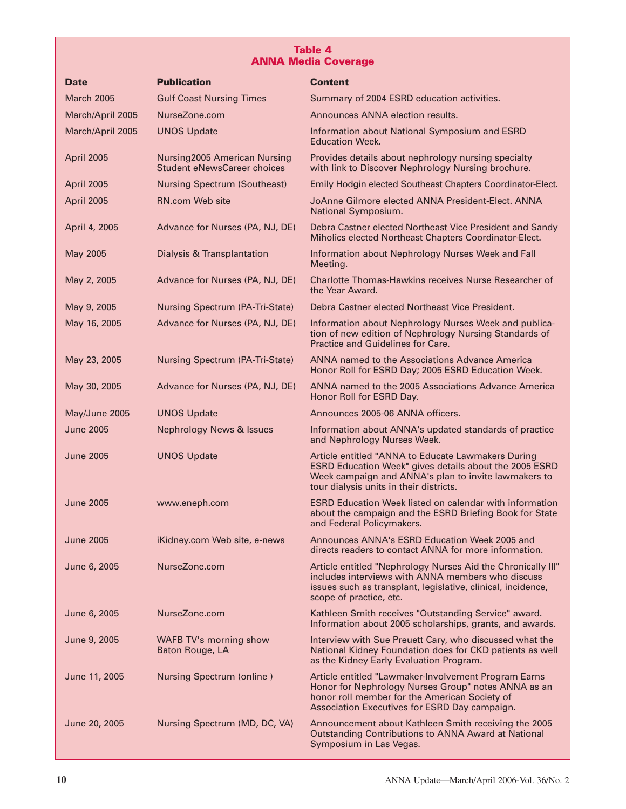### **Table 4 ANNA Media Coverage**

| <b>Date</b>       | <b>Publication</b>                                                 | <b>Content</b>                                                                                                                                                                                                  |
|-------------------|--------------------------------------------------------------------|-----------------------------------------------------------------------------------------------------------------------------------------------------------------------------------------------------------------|
| <b>March 2005</b> | <b>Gulf Coast Nursing Times</b>                                    | Summary of 2004 ESRD education activities.                                                                                                                                                                      |
| March/April 2005  | NurseZone.com                                                      | Announces ANNA election results.                                                                                                                                                                                |
| March/April 2005  | <b>UNOS Update</b>                                                 | Information about National Symposium and ESRD<br><b>Education Week.</b>                                                                                                                                         |
| April 2005        | Nursing2005 American Nursing<br><b>Student eNewsCareer choices</b> | Provides details about nephrology nursing specialty<br>with link to Discover Nephrology Nursing brochure.                                                                                                       |
| April 2005        | <b>Nursing Spectrum (Southeast)</b>                                | Emily Hodgin elected Southeast Chapters Coordinator-Elect.                                                                                                                                                      |
| April 2005        | RN.com Web site                                                    | JoAnne Gilmore elected ANNA President-Elect. ANNA<br>National Symposium.                                                                                                                                        |
| April 4, 2005     | Advance for Nurses (PA, NJ, DE)                                    | Debra Castner elected Northeast Vice President and Sandy<br>Miholics elected Northeast Chapters Coordinator-Elect.                                                                                              |
| May 2005          | Dialysis & Transplantation                                         | Information about Nephrology Nurses Week and Fall<br>Meeting.                                                                                                                                                   |
| May 2, 2005       | Advance for Nurses (PA, NJ, DE)                                    | Charlotte Thomas-Hawkins receives Nurse Researcher of<br>the Year Award.                                                                                                                                        |
| May 9, 2005       | <b>Nursing Spectrum (PA-Tri-State)</b>                             | Debra Castner elected Northeast Vice President.                                                                                                                                                                 |
| May 16, 2005      | Advance for Nurses (PA, NJ, DE)                                    | Information about Nephrology Nurses Week and publica-<br>tion of new edition of Nephrology Nursing Standards of<br>Practice and Guidelines for Care.                                                            |
| May 23, 2005      | <b>Nursing Spectrum (PA-Tri-State)</b>                             | ANNA named to the Associations Advance America<br>Honor Roll for ESRD Day; 2005 ESRD Education Week.                                                                                                            |
| May 30, 2005      | Advance for Nurses (PA, NJ, DE)                                    | ANNA named to the 2005 Associations Advance America<br>Honor Roll for ESRD Day.                                                                                                                                 |
| May/June 2005     | <b>UNOS Update</b>                                                 | Announces 2005-06 ANNA officers.                                                                                                                                                                                |
| <b>June 2005</b>  | Nephrology News & Issues                                           | Information about ANNA's updated standards of practice<br>and Nephrology Nurses Week.                                                                                                                           |
| <b>June 2005</b>  | <b>UNOS Update</b>                                                 | Article entitled "ANNA to Educate Lawmakers During<br>ESRD Education Week" gives details about the 2005 ESRD<br>Week campaign and ANNA's plan to invite lawmakers to<br>tour dialysis units in their districts. |
| <b>June 2005</b>  | www.eneph.com                                                      | <b>ESRD Education Week listed on calendar with information</b><br>about the campaign and the ESRD Briefing Book for State<br>and Federal Policymakers.                                                          |
| <b>June 2005</b>  | iKidney.com Web site, e-news                                       | Announces ANNA's ESRD Education Week 2005 and<br>directs readers to contact ANNA for more information.                                                                                                          |
| June 6, 2005      | NurseZone.com                                                      | Article entitled "Nephrology Nurses Aid the Chronically III"<br>includes interviews with ANNA members who discuss<br>issues such as transplant, legislative, clinical, incidence,<br>scope of practice, etc.    |
| June 6, 2005      | NurseZone.com                                                      | Kathleen Smith receives "Outstanding Service" award.<br>Information about 2005 scholarships, grants, and awards.                                                                                                |
| June 9, 2005      | WAFB TV's morning show<br>Baton Rouge, LA                          | Interview with Sue Preuett Cary, who discussed what the<br>National Kidney Foundation does for CKD patients as well<br>as the Kidney Early Evaluation Program.                                                  |
| June 11, 2005     | <b>Nursing Spectrum (online)</b>                                   | Article entitled "Lawmaker-Involvement Program Earns<br>Honor for Nephrology Nurses Group" notes ANNA as an<br>honor roll member for the American Society of<br>Association Executives for ESRD Day campaign.   |
| June 20, 2005     | Nursing Spectrum (MD, DC, VA)                                      | Announcement about Kathleen Smith receiving the 2005<br><b>Outstanding Contributions to ANNA Award at National</b><br>Symposium in Las Vegas.                                                                   |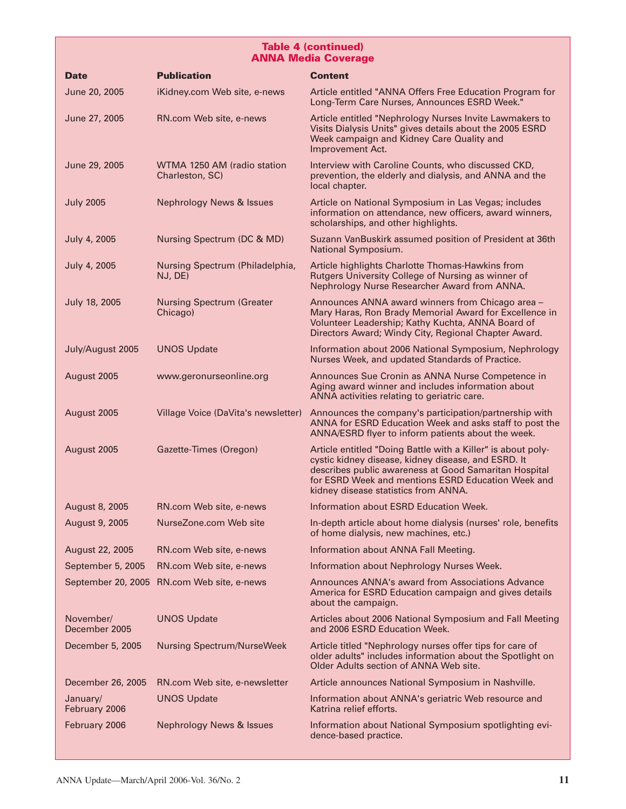#### **Table 4 (continued) ANNA Media Coverage**

| <b>Date</b>                | <b>Publication</b>                             | <b>Content</b>                                                                                                                                                                                                                                                             |
|----------------------------|------------------------------------------------|----------------------------------------------------------------------------------------------------------------------------------------------------------------------------------------------------------------------------------------------------------------------------|
| June 20, 2005              | iKidney.com Web site, e-news                   | Article entitled "ANNA Offers Free Education Program for<br>Long-Term Care Nurses, Announces ESRD Week."                                                                                                                                                                   |
| June 27, 2005              | RN.com Web site, e-news                        | Article entitled "Nephrology Nurses Invite Lawmakers to<br>Visits Dialysis Units" gives details about the 2005 ESRD<br>Week campaign and Kidney Care Quality and<br>Improvement Act.                                                                                       |
| June 29, 2005              | WTMA 1250 AM (radio station<br>Charleston, SC) | Interview with Caroline Counts, who discussed CKD,<br>prevention, the elderly and dialysis, and ANNA and the<br>local chapter.                                                                                                                                             |
| <b>July 2005</b>           | <b>Nephrology News &amp; Issues</b>            | Article on National Symposium in Las Vegas; includes<br>information on attendance, new officers, award winners,<br>scholarships, and other highlights.                                                                                                                     |
| July 4, 2005               | Nursing Spectrum (DC & MD)                     | Suzann VanBuskirk assumed position of President at 36th<br>National Symposium.                                                                                                                                                                                             |
| July 4, 2005               | Nursing Spectrum (Philadelphia,<br>NJ, DE)     | Article highlights Charlotte Thomas-Hawkins from<br>Rutgers University College of Nursing as winner of<br>Nephrology Nurse Researcher Award from ANNA.                                                                                                                     |
| July 18, 2005              | <b>Nursing Spectrum (Greater</b><br>Chicago)   | Announces ANNA award winners from Chicago area -<br>Mary Haras, Ron Brady Memorial Award for Excellence in<br>Volunteer Leadership; Kathy Kuchta, ANNA Board of<br>Directors Award; Windy City, Regional Chapter Award.                                                    |
| July/August 2005           | <b>UNOS Update</b>                             | Information about 2006 National Symposium, Nephrology<br>Nurses Week, and updated Standards of Practice.                                                                                                                                                                   |
| August 2005                | www.geronurseonline.org                        | Announces Sue Cronin as ANNA Nurse Competence in<br>Aging award winner and includes information about<br>ANNA activities relating to geriatric care.                                                                                                                       |
| August 2005                | Village Voice (DaVita's newsletter)            | Announces the company's participation/partnership with<br>ANNA for ESRD Education Week and asks staff to post the<br>ANNA/ESRD flyer to inform patients about the week.                                                                                                    |
| August 2005                | Gazette-Times (Oregon)                         | Article entitled "Doing Battle with a Killer" is about poly-<br>cystic kidney disease, kidney disease, and ESRD. It<br>describes public awareness at Good Samaritan Hospital<br>for ESRD Week and mentions ESRD Education Week and<br>kidney disease statistics from ANNA. |
| <b>August 8, 2005</b>      | RN.com Web site, e-news                        | Information about ESRD Education Week.                                                                                                                                                                                                                                     |
| August 9, 2005             | NurseZone.com Web site                         | In-depth article about home dialysis (nurses' role, benefits<br>of home dialysis, new machines, etc.)                                                                                                                                                                      |
| August 22, 2005            | RN.com Web site, e-news                        | Information about ANNA Fall Meeting.                                                                                                                                                                                                                                       |
| September 5, 2005          | RN.com Web site, e-news                        | Information about Nephrology Nurses Week.                                                                                                                                                                                                                                  |
|                            | September 20, 2005 RN.com Web site, e-news     | Announces ANNA's award from Associations Advance<br>America for ESRD Education campaign and gives details<br>about the campaign.                                                                                                                                           |
| November/<br>December 2005 | <b>UNOS Update</b>                             | Articles about 2006 National Symposium and Fall Meeting<br>and 2006 ESRD Education Week.                                                                                                                                                                                   |
| December 5, 2005           | <b>Nursing Spectrum/NurseWeek</b>              | Article titled "Nephrology nurses offer tips for care of<br>older adults" includes information about the Spotlight on<br>Older Adults section of ANNA Web site.                                                                                                            |
| December 26, 2005          | RN.com Web site, e-newsletter                  | Article announces National Symposium in Nashville.                                                                                                                                                                                                                         |
| January/<br>February 2006  | <b>UNOS Update</b>                             | Information about ANNA's geriatric Web resource and<br>Katrina relief efforts.                                                                                                                                                                                             |
| February 2006              | <b>Nephrology News &amp; Issues</b>            | Information about National Symposium spotlighting evi-<br>dence-based practice.                                                                                                                                                                                            |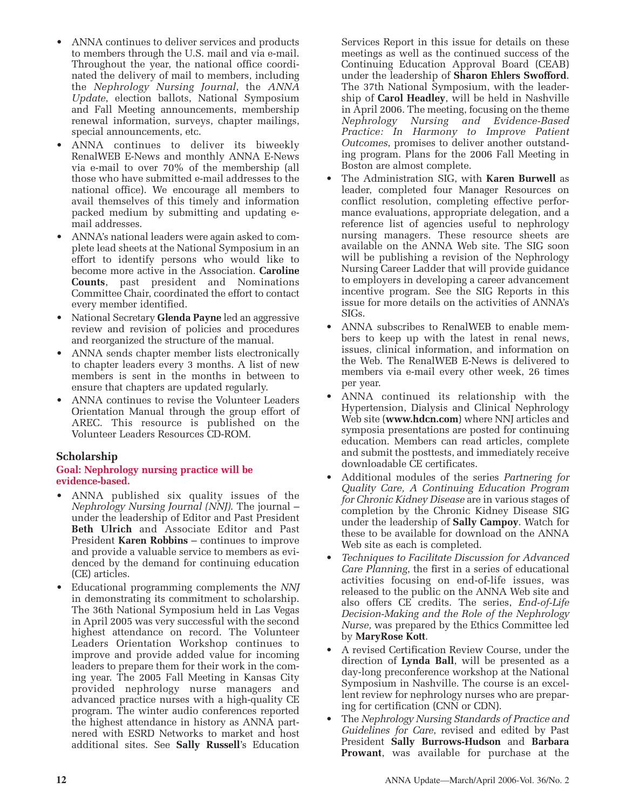- ANNA continues to deliver services and products to members through the U.S. mail and via e-mail. Throughout the year, the national office coordinated the delivery of mail to members, including the *Nephrology Nursing Journal*, the *ANNA Update*, election ballots, National Symposium and Fall Meeting announcements, membership renewal information, surveys, chapter mailings, special announcements, etc.
- ANNA continues to deliver its biweekly RenalWEB E-News and monthly ANNA E-News via e-mail to over 70% of the membership (all those who have submitted e-mail addresses to the national office). We encourage all members to avail themselves of this timely and information packed medium by submitting and updating email addresses.
- ANNA's national leaders were again asked to complete lead sheets at the National Symposium in an effort to identify persons who would like to become more active in the Association. **Caroline Counts**, past president and Nominations Committee Chair, coordinated the effort to contact every member identified.
- National Secretary **Glenda Payne** led an aggressive review and revision of policies and procedures and reorganized the structure of the manual.
- ANNA sends chapter member lists electronically to chapter leaders every 3 months. A list of new members is sent in the months in between to ensure that chapters are updated regularly.
- ANNA continues to revise the Volunteer Leaders Orientation Manual through the group effort of AREC. This resource is published on the Volunteer Leaders Resources CD-ROM.

# **Scholarship**

#### **Goal: Nephrology nursing practice will be evidence-based.**

- ANNA published six quality issues of the *Nephrology Nursing Journal (NNJ)*. The journal – under the leadership of Editor and Past President **Beth Ulrich** and Associate Editor and Past President **Karen Robbins** – continues to improve and provide a valuable service to members as evidenced by the demand for continuing education (CE) articles.
- Educational programming complements the *NNJ* in demonstrating its commitment to scholarship. The 36th National Symposium held in Las Vegas in April 2005 was very successful with the second highest attendance on record. The Volunteer Leaders Orientation Workshop continues to improve and provide added value for incoming leaders to prepare them for their work in the coming year. The 2005 Fall Meeting in Kansas City provided nephrology nurse managers and advanced practice nurses with a high-quality CE program. The winter audio conferences reported the highest attendance in history as ANNA partnered with ESRD Networks to market and host additional sites. See **Sally Russell**'s Education

Services Report in this issue for details on these meetings as well as the continued success of the Continuing Education Approval Board (CEAB) under the leadership of **Sharon Ehlers Swofford**. The 37th National Symposium, with the leadership of **Carol Headley**, will be held in Nashville in April 2006. The meeting, focusing on the theme *Nephrology Nursing and Evidence-Based Practice: In Harmony to Improve Patient Outcomes*, promises to deliver another outstanding program. Plans for the 2006 Fall Meeting in Boston are almost complete.

- The Administration SIG, with **Karen Burwell** as leader, completed four Manager Resources on conflict resolution, completing effective performance evaluations, appropriate delegation, and a reference list of agencies useful to nephrology nursing managers. These resource sheets are available on the ANNA Web site. The SIG soon will be publishing a revision of the Nephrology Nursing Career Ladder that will provide guidance to employers in developing a career advancement incentive program. See the SIG Reports in this issue for more details on the activities of ANNA's SIGs.
- ANNA subscribes to RenalWEB to enable members to keep up with the latest in renal news, issues, clinical information, and information on the Web. The RenalWEB E-News is delivered to members via e-mail every other week, 26 times per year.
- ANNA continued its relationship with the Hypertension, Dialysis and Clinical Nephrology Web site (**www.hdcn.com**) where NNJ articles and symposia presentations are posted for continuing education. Members can read articles, complete and submit the posttests, and immediately receive downloadable CE certificates.
- Additional modules of the series *Partnering for Quality Care, A Continuing Education Program for Chronic Kidney Disease* are in various stages of completion by the Chronic Kidney Disease SIG under the leadership of **Sally Campoy**. Watch for these to be available for download on the ANNA Web site as each is completed.
- *Techniques to Facilitate Discussion for Advanced Care Planning*, the first in a series of educational activities focusing on end-of-life issues, was released to the public on the ANNA Web site and also offers CE credits. The series, *End-of-Life Decision-Making and the Role of the Nephrology Nurse,* was prepared by the Ethics Committee led by **MaryRose Kott**.
- A revised Certification Review Course, under the direction of **Lynda Ball**, will be presented as a day-long preconference workshop at the National Symposium in Nashville. The course is an excellent review for nephrology nurses who are preparing for certification (CNN or CDN).
- The *Nephrology Nursing Standards of Practice and Guidelines for Care*, revised and edited by Past President **Sally Burrows-Hudson** and **Barbara Prowant**, was available for purchase at the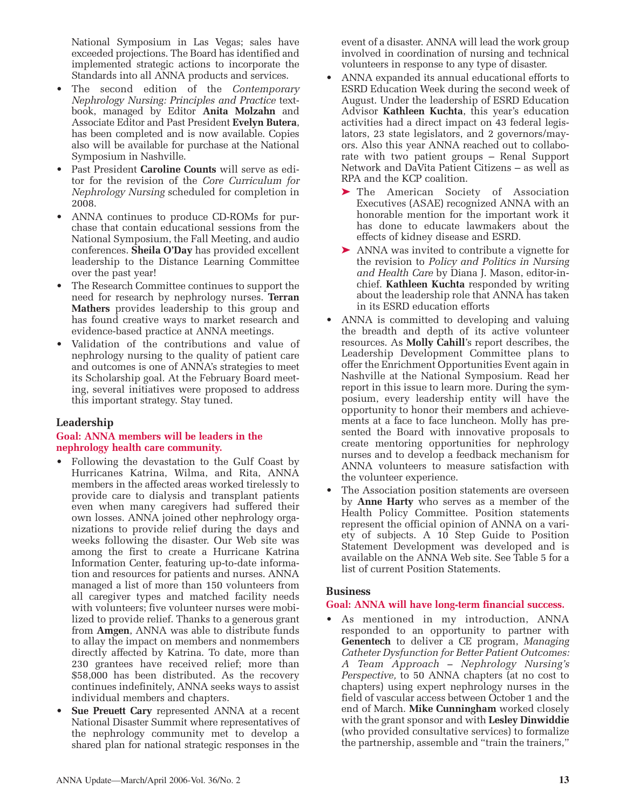National Symposium in Las Vegas; sales have exceeded projections. The Board has identified and implemented strategic actions to incorporate the Standards into all ANNA products and services.

- The second edition of the *Contemporary Nephrology Nursing: Principles and Practice* textbook, managed by Editor **Anita Molzahn** and Associate Editor and Past President **Evelyn Butera**, has been completed and is now available. Copies also will be available for purchase at the National Symposium in Nashville.
- Past President **Caroline Counts** will serve as editor for the revision of the *Core Curriculum for Nephrology Nursing* scheduled for completion in 2008.
- ANNA continues to produce CD-ROMs for purchase that contain educational sessions from the National Symposium, the Fall Meeting, and audio conferences. **Sheila O'Day** has provided excellent leadership to the Distance Learning Committee over the past year!
- The Research Committee continues to support the need for research by nephrology nurses. **Terran Mathers** provides leadership to this group and has found creative ways to market research and evidence-based practice at ANNA meetings.
- Validation of the contributions and value of nephrology nursing to the quality of patient care and outcomes is one of ANNA's strategies to meet its Scholarship goal. At the February Board meeting, several initiatives were proposed to address this important strategy. Stay tuned.

## **Leadership**

#### **Goal: ANNA members will be leaders in the nephrology health care community.**

- Following the devastation to the Gulf Coast by Hurricanes Katrina, Wilma, and Rita, ANNA members in the affected areas worked tirelessly to provide care to dialysis and transplant patients even when many caregivers had suffered their own losses. ANNA joined other nephrology organizations to provide relief during the days and weeks following the disaster. Our Web site was among the first to create a Hurricane Katrina Information Center, featuring up-to-date information and resources for patients and nurses. ANNA managed a list of more than 150 volunteers from all caregiver types and matched facility needs with volunteers; five volunteer nurses were mobilized to provide relief. Thanks to a generous grant from **Amgen**, ANNA was able to distribute funds to allay the impact on members and nonmembers directly affected by Katrina. To date, more than 230 grantees have received relief; more than \$58,000 has been distributed. As the recovery continues indefinitely, ANNA seeks ways to assist individual members and chapters.
- **Sue Preuett Cary** represented ANNA at a recent National Disaster Summit where representatives of the nephrology community met to develop a shared plan for national strategic responses in the

event of a disaster. ANNA will lead the work group involved in coordination of nursing and technical volunteers in response to any type of disaster.

- ANNA expanded its annual educational efforts to ESRD Education Week during the second week of August. Under the leadership of ESRD Education Advisor **Kathleen Kuchta**, this year's education activities had a direct impact on 43 federal legislators, 23 state legislators, and 2 governors/mayors. Also this year ANNA reached out to collaborate with two patient groups – Renal Support Network and DaVita Patient Citizens – as well as RPA and the KCP coalition.
	- ➤ The American Society of Association Executives (ASAE) recognized ANNA with an honorable mention for the important work it has done to educate lawmakers about the effects of kidney disease and ESRD.
	- ➤ ANNA was invited to contribute a vignette for the revision to *Policy and Politics in Nursing and Health Care* by Diana J. Mason, editor-inchief. **Kathleen Kuchta** responded by writing about the leadership role that ANNA has taken in its ESRD education efforts
- ANNA is committed to developing and valuing the breadth and depth of its active volunteer resources. As **Molly Cahill**'s report describes, the Leadership Development Committee plans to offer the Enrichment Opportunities Event again in Nashville at the National Symposium. Read her report in this issue to learn more. During the symposium, every leadership entity will have the opportunity to honor their members and achievements at a face to face luncheon. Molly has presented the Board with innovative proposals to create mentoring opportunities for nephrology nurses and to develop a feedback mechanism for ANNA volunteers to measure satisfaction with the volunteer experience.
- The Association position statements are overseen by **Anne Harty** who serves as a member of the Health Policy Committee. Position statements represent the official opinion of ANNA on a variety of subjects. A 10 Step Guide to Position Statement Development was developed and is available on the ANNA Web site. See Table 5 for a list of current Position Statements.

#### **Business**

#### **Goal: ANNA will have long-term financial success.**

As mentioned in my introduction, ANNA responded to an opportunity to partner with **Genentech** to deliver a CE program, *Managing Catheter Dysfunction for Better Patient Outcomes: A Team Approach – Nephrology Nursing's Perspective,* to 50 ANNA chapters (at no cost to chapters) using expert nephrology nurses in the field of vascular access between October 1 and the end of March. **Mike Cunningham** worked closely with the grant sponsor and with **Lesley Dinwiddie** (who provided consultative services) to formalize the partnership, assemble and "train the trainers,"